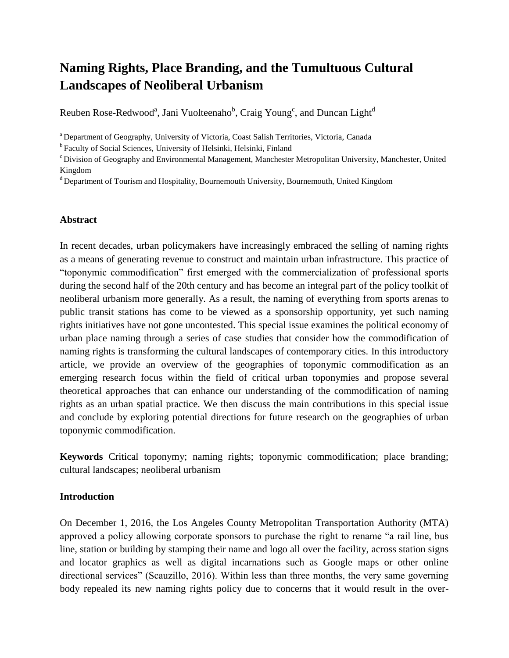# **Naming Rights, Place Branding, and the Tumultuous Cultural Landscapes of Neoliberal Urbanism**

Reuben Rose-Redwood<sup>a</sup>, Jani Vuolteenaho<sup>b</sup>, Craig Young<sup>c</sup>, and Duncan Light<sup>d</sup>

<sup>a</sup> Department of Geography, University of Victoria, Coast Salish Territories, Victoria, Canada

<sup>b</sup> Faculty of Social Sciences, University of Helsinki, Helsinki, Finland

<sup>c</sup> Division of Geography and Environmental Management, Manchester Metropolitan University, Manchester, United Kingdom

 $d$  Department of Tourism and Hospitality, Bournemouth University, Bournemouth, United Kingdom

# **Abstract**

In recent decades, urban policymakers have increasingly embraced the selling of naming rights as a means of generating revenue to construct and maintain urban infrastructure. This practice of "toponymic commodification" first emerged with the commercialization of professional sports during the second half of the 20th century and has become an integral part of the policy toolkit of neoliberal urbanism more generally. As a result, the naming of everything from sports arenas to public transit stations has come to be viewed as a sponsorship opportunity, yet such naming rights initiatives have not gone uncontested. This special issue examines the political economy of urban place naming through a series of case studies that consider how the commodification of naming rights is transforming the cultural landscapes of contemporary cities. In this introductory article, we provide an overview of the geographies of toponymic commodification as an emerging research focus within the field of critical urban toponymies and propose several theoretical approaches that can enhance our understanding of the commodification of naming rights as an urban spatial practice. We then discuss the main contributions in this special issue and conclude by exploring potential directions for future research on the geographies of urban toponymic commodification.

**Keywords** Critical toponymy; naming rights; toponymic commodification; place branding; cultural landscapes; neoliberal urbanism

# **Introduction**

On December 1, 2016, the Los Angeles County Metropolitan Transportation Authority (MTA) approved a policy allowing corporate sponsors to purchase the right to rename "a rail line, bus line, station or building by stamping their name and logo all over the facility, across station signs and locator graphics as well as digital incarnations such as Google maps or other online directional services" (Scauzillo, 2016). Within less than three months, the very same governing body repealed its new naming rights policy due to concerns that it would result in the over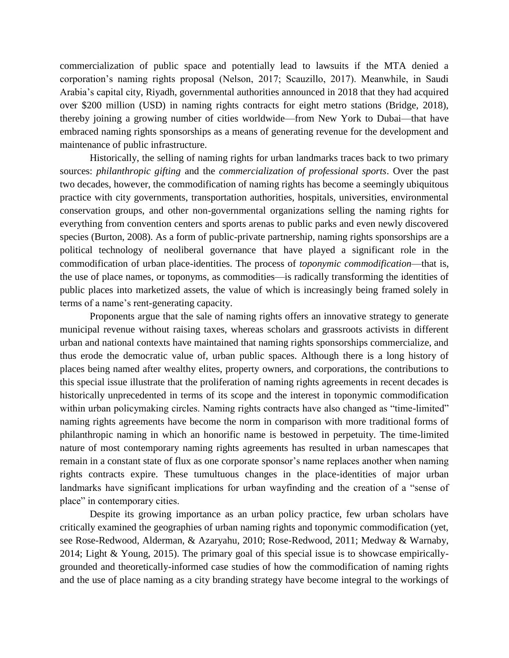commercialization of public space and potentially lead to lawsuits if the MTA denied a corporation's naming rights proposal (Nelson, 2017; Scauzillo, 2017). Meanwhile, in Saudi Arabia's capital city, Riyadh, governmental authorities announced in 2018 that they had acquired over \$200 million (USD) in naming rights contracts for eight metro stations (Bridge, 2018), thereby joining a growing number of cities worldwide—from New York to Dubai—that have embraced naming rights sponsorships as a means of generating revenue for the development and maintenance of public infrastructure.

Historically, the selling of naming rights for urban landmarks traces back to two primary sources: *philanthropic gifting* and the *commercialization of professional sports*. Over the past two decades, however, the commodification of naming rights has become a seemingly ubiquitous practice with city governments, transportation authorities, hospitals, universities, environmental conservation groups, and other non-governmental organizations selling the naming rights for everything from convention centers and sports arenas to public parks and even newly discovered species (Burton, 2008). As a form of public-private partnership, naming rights sponsorships are a political technology of neoliberal governance that have played a significant role in the commodification of urban place-identities. The process of *toponymic commodification*—that is, the use of place names, or toponyms, as commodities—is radically transforming the identities of public places into marketized assets, the value of which is increasingly being framed solely in terms of a name's rent-generating capacity.

Proponents argue that the sale of naming rights offers an innovative strategy to generate municipal revenue without raising taxes, whereas scholars and grassroots activists in different urban and national contexts have maintained that naming rights sponsorships commercialize, and thus erode the democratic value of, urban public spaces. Although there is a long history of places being named after wealthy elites, property owners, and corporations, the contributions to this special issue illustrate that the proliferation of naming rights agreements in recent decades is historically unprecedented in terms of its scope and the interest in toponymic commodification within urban policymaking circles. Naming rights contracts have also changed as "time-limited" naming rights agreements have become the norm in comparison with more traditional forms of philanthropic naming in which an honorific name is bestowed in perpetuity. The time-limited nature of most contemporary naming rights agreements has resulted in urban namescapes that remain in a constant state of flux as one corporate sponsor's name replaces another when naming rights contracts expire. These tumultuous changes in the place-identities of major urban landmarks have significant implications for urban wayfinding and the creation of a "sense of place" in contemporary cities.

Despite its growing importance as an urban policy practice, few urban scholars have critically examined the geographies of urban naming rights and toponymic commodification (yet, see Rose-Redwood, Alderman, & Azaryahu, 2010; Rose-Redwood, 2011; Medway & Warnaby, 2014; Light & Young, 2015). The primary goal of this special issue is to showcase empiricallygrounded and theoretically-informed case studies of how the commodification of naming rights and the use of place naming as a city branding strategy have become integral to the workings of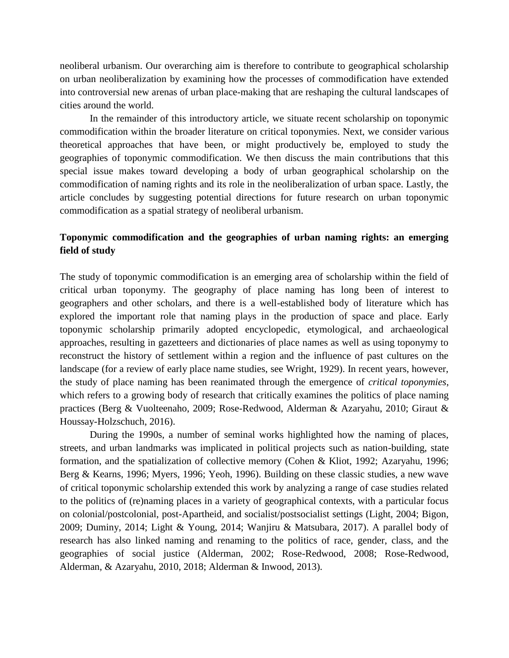neoliberal urbanism. Our overarching aim is therefore to contribute to geographical scholarship on urban neoliberalization by examining how the processes of commodification have extended into controversial new arenas of urban place-making that are reshaping the cultural landscapes of cities around the world.

In the remainder of this introductory article, we situate recent scholarship on toponymic commodification within the broader literature on critical toponymies. Next, we consider various theoretical approaches that have been, or might productively be, employed to study the geographies of toponymic commodification. We then discuss the main contributions that this special issue makes toward developing a body of urban geographical scholarship on the commodification of naming rights and its role in the neoliberalization of urban space. Lastly, the article concludes by suggesting potential directions for future research on urban toponymic commodification as a spatial strategy of neoliberal urbanism.

# **Toponymic commodification and the geographies of urban naming rights: an emerging field of study**

The study of toponymic commodification is an emerging area of scholarship within the field of critical urban toponymy. The geography of place naming has long been of interest to geographers and other scholars, and there is a well-established body of literature which has explored the important role that naming plays in the production of space and place. Early toponymic scholarship primarily adopted encyclopedic, etymological, and archaeological approaches, resulting in gazetteers and dictionaries of place names as well as using toponymy to reconstruct the history of settlement within a region and the influence of past cultures on the landscape (for a review of early place name studies, see Wright, 1929). In recent years, however, the study of place naming has been reanimated through the emergence of *critical toponymies*, which refers to a growing body of research that critically examines the politics of place naming practices (Berg & Vuolteenaho, 2009; Rose-Redwood, Alderman & Azaryahu, 2010; Giraut & Houssay-Holzschuch, 2016).

During the 1990s, a number of seminal works highlighted how the naming of places, streets, and urban landmarks was implicated in political projects such as nation-building, state formation, and the spatialization of collective memory (Cohen & Kliot, 1992; Azaryahu, 1996; Berg & Kearns, 1996; Myers, 1996; Yeoh, 1996). Building on these classic studies, a new wave of critical toponymic scholarship extended this work by analyzing a range of case studies related to the politics of (re)naming places in a variety of geographical contexts, with a particular focus on colonial/postcolonial, post-Apartheid, and socialist/postsocialist settings (Light, 2004; Bigon, 2009; Duminy, 2014; Light & Young, 2014; Wanjiru & Matsubara, 2017). A parallel body of research has also linked naming and renaming to the politics of race, gender, class, and the geographies of social justice (Alderman, 2002; Rose-Redwood, 2008; Rose-Redwood, Alderman, & Azaryahu, 2010, 2018; Alderman & Inwood, 2013).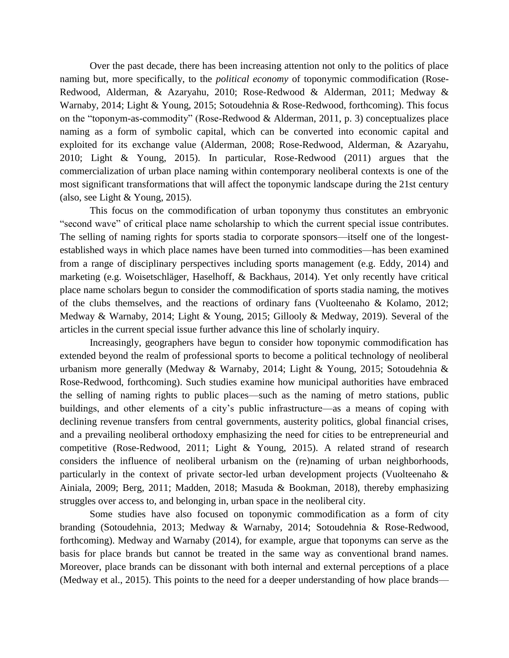Over the past decade, there has been increasing attention not only to the politics of place naming but, more specifically, to the *political economy* of toponymic commodification (Rose-Redwood, Alderman, & Azaryahu, 2010; Rose-Redwood & Alderman, 2011; Medway & Warnaby, 2014; Light & Young, 2015; Sotoudehnia & Rose-Redwood, forthcoming). This focus on the "toponym-as-commodity" (Rose-Redwood & Alderman, 2011, p. 3) conceptualizes place naming as a form of symbolic capital, which can be converted into economic capital and exploited for its exchange value (Alderman, 2008; Rose-Redwood, Alderman, & Azaryahu, 2010; Light & Young, 2015). In particular, Rose-Redwood (2011) argues that the commercialization of urban place naming within contemporary neoliberal contexts is one of the most significant transformations that will affect the toponymic landscape during the 21st century (also, see Light & Young, 2015).

This focus on the commodification of urban toponymy thus constitutes an embryonic "second wave" of critical place name scholarship to which the current special issue contributes. The selling of naming rights for sports stadia to corporate sponsors—itself one of the longestestablished ways in which place names have been turned into commodities—has been examined from a range of disciplinary perspectives including sports management (e.g. Eddy, 2014) and marketing (e.g. Woisetschläger, Haselhoff, & Backhaus, 2014). Yet only recently have critical place name scholars begun to consider the commodification of sports stadia naming, the motives of the clubs themselves, and the reactions of ordinary fans (Vuolteenaho & Kolamo, 2012; Medway & Warnaby, 2014; Light & Young, 2015; Gillooly & Medway, 2019). Several of the articles in the current special issue further advance this line of scholarly inquiry.

Increasingly, geographers have begun to consider how toponymic commodification has extended beyond the realm of professional sports to become a political technology of neoliberal urbanism more generally (Medway & Warnaby, 2014; Light & Young, 2015; Sotoudehnia & Rose-Redwood, forthcoming). Such studies examine how municipal authorities have embraced the selling of naming rights to public places—such as the naming of metro stations, public buildings, and other elements of a city's public infrastructure—as a means of coping with declining revenue transfers from central governments, austerity politics, global financial crises, and a prevailing neoliberal orthodoxy emphasizing the need for cities to be entrepreneurial and competitive (Rose-Redwood, 2011; Light & Young, 2015). A related strand of research considers the influence of neoliberal urbanism on the (re)naming of urban neighborhoods, particularly in the context of private sector-led urban development projects (Vuolteenaho & Ainiala, 2009; Berg, 2011; Madden, 2018; Masuda & Bookman, 2018), thereby emphasizing struggles over access to, and belonging in, urban space in the neoliberal city.

Some studies have also focused on toponymic commodification as a form of city branding (Sotoudehnia, 2013; Medway & Warnaby, 2014; Sotoudehnia & Rose-Redwood, forthcoming). Medway and Warnaby (2014), for example, argue that toponyms can serve as the basis for place brands but cannot be treated in the same way as conventional brand names. Moreover, place brands can be dissonant with both internal and external perceptions of a place (Medway et al., 2015). This points to the need for a deeper understanding of how place brands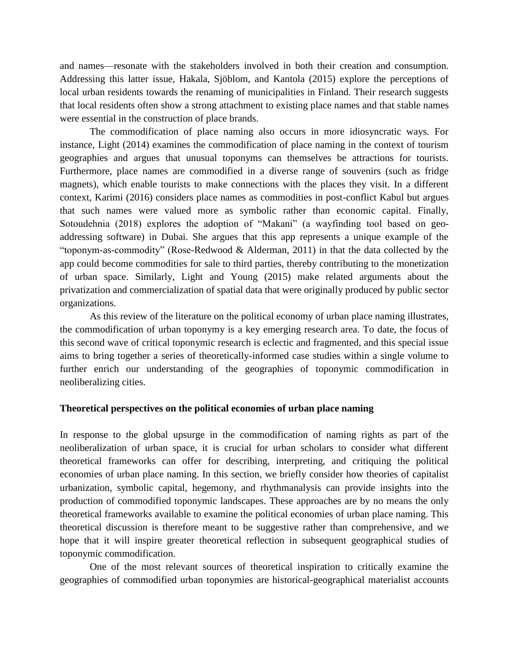and names—resonate with the stakeholders involved in both their creation and consumption. Addressing this latter issue, Hakala, Sjöblom, and Kantola (2015) explore the perceptions of local urban residents towards the renaming of municipalities in Finland. Their research suggests that local residents often show a strong attachment to existing place names and that stable names were essential in the construction of place brands.

The commodification of place naming also occurs in more idiosyncratic ways. For instance, Light (2014) examines the commodification of place naming in the context of tourism geographies and argues that unusual toponyms can themselves be attractions for tourists. Furthermore, place names are commodified in a diverse range of souvenirs (such as fridge magnets), which enable tourists to make connections with the places they visit. In a different context, Karimi (2016) considers place names as commodities in post-conflict Kabul but argues that such names were valued more as symbolic rather than economic capital. Finally, Sotoudehnia (2018) explores the adoption of "Makani" (a wayfinding tool based on geoaddressing software) in Dubai. She argues that this app represents a unique example of the "toponym-as-commodity" (Rose-Redwood & Alderman, 2011) in that the data collected by the app could become commodities for sale to third parties, thereby contributing to the monetization of urban space. Similarly, Light and Young (2015) make related arguments about the privatization and commercialization of spatial data that were originally produced by public sector organizations.

As this review of the literature on the political economy of urban place naming illustrates, the commodification of urban toponymy is a key emerging research area. To date, the focus of this second wave of critical toponymic research is eclectic and fragmented, and this special issue aims to bring together a series of theoretically-informed case studies within a single volume to further enrich our understanding of the geographies of toponymic commodification in neoliberalizing cities.

#### **Theoretical perspectives on the political economies of urban place naming**

In response to the global upsurge in the commodification of naming rights as part of the neoliberalization of urban space, it is crucial for urban scholars to consider what different theoretical frameworks can offer for describing, interpreting, and critiquing the political economies of urban place naming. In this section, we briefly consider how theories of capitalist urbanization, symbolic capital, hegemony, and rhythmanalysis can provide insights into the production of commodified toponymic landscapes. These approaches are by no means the only theoretical frameworks available to examine the political economies of urban place naming. This theoretical discussion is therefore meant to be suggestive rather than comprehensive, and we hope that it will inspire greater theoretical reflection in subsequent geographical studies of toponymic commodification.

One of the most relevant sources of theoretical inspiration to critically examine the geographies of commodified urban toponymies are historical-geographical materialist accounts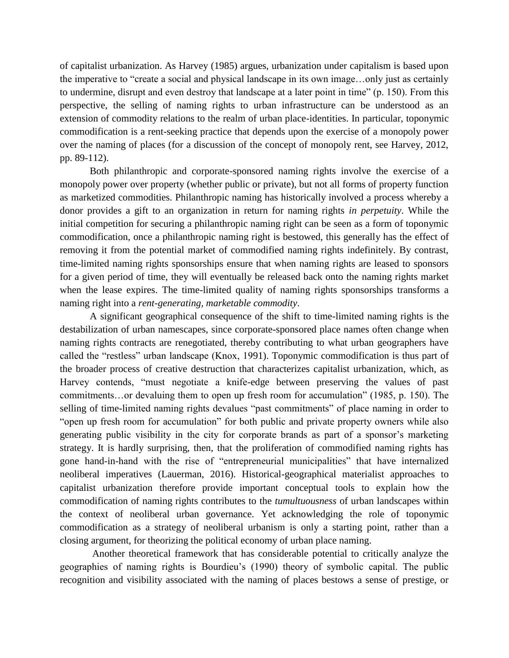of capitalist urbanization. As Harvey (1985) argues, urbanization under capitalism is based upon the imperative to "create a social and physical landscape in its own image…only just as certainly to undermine, disrupt and even destroy that landscape at a later point in time" (p. 150). From this perspective, the selling of naming rights to urban infrastructure can be understood as an extension of commodity relations to the realm of urban place-identities. In particular, toponymic commodification is a rent-seeking practice that depends upon the exercise of a monopoly power over the naming of places (for a discussion of the concept of monopoly rent, see Harvey, 2012, pp. 89-112).

Both philanthropic and corporate-sponsored naming rights involve the exercise of a monopoly power over property (whether public or private), but not all forms of property function as marketized commodities. Philanthropic naming has historically involved a process whereby a donor provides a gift to an organization in return for naming rights *in perpetuity*. While the initial competition for securing a philanthropic naming right can be seen as a form of toponymic commodification, once a philanthropic naming right is bestowed, this generally has the effect of removing it from the potential market of commodified naming rights indefinitely. By contrast, time-limited naming rights sponsorships ensure that when naming rights are leased to sponsors for a given period of time, they will eventually be released back onto the naming rights market when the lease expires. The time-limited quality of naming rights sponsorships transforms a naming right into a *rent-generating, marketable commodity*.

A significant geographical consequence of the shift to time-limited naming rights is the destabilization of urban namescapes, since corporate-sponsored place names often change when naming rights contracts are renegotiated, thereby contributing to what urban geographers have called the "restless" urban landscape (Knox, 1991). Toponymic commodification is thus part of the broader process of creative destruction that characterizes capitalist urbanization, which, as Harvey contends, "must negotiate a knife-edge between preserving the values of past commitments…or devaluing them to open up fresh room for accumulation" (1985, p. 150). The selling of time-limited naming rights devalues "past commitments" of place naming in order to "open up fresh room for accumulation" for both public and private property owners while also generating public visibility in the city for corporate brands as part of a sponsor's marketing strategy. It is hardly surprising, then, that the proliferation of commodified naming rights has gone hand-in-hand with the rise of "entrepreneurial municipalities" that have internalized neoliberal imperatives (Lauerman, 2016). Historical-geographical materialist approaches to capitalist urbanization therefore provide important conceptual tools to explain how the commodification of naming rights contributes to the *tumultuousness* of urban landscapes within the context of neoliberal urban governance. Yet acknowledging the role of toponymic commodification as a strategy of neoliberal urbanism is only a starting point, rather than a closing argument, for theorizing the political economy of urban place naming.

Another theoretical framework that has considerable potential to critically analyze the geographies of naming rights is Bourdieu's (1990) theory of symbolic capital. The public recognition and visibility associated with the naming of places bestows a sense of prestige, or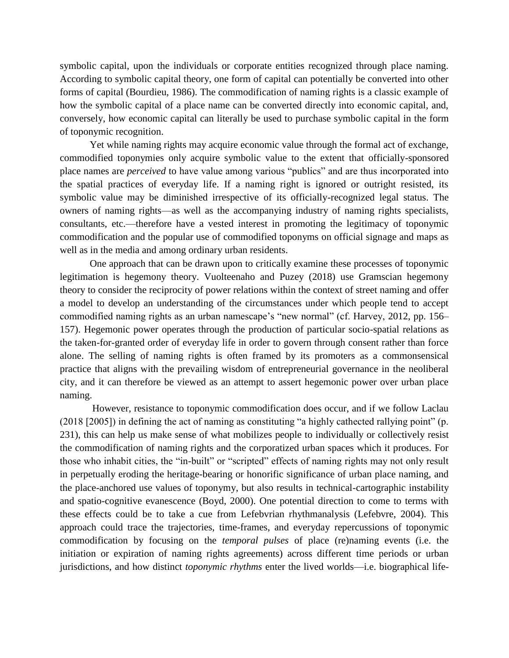symbolic capital, upon the individuals or corporate entities recognized through place naming. According to symbolic capital theory, one form of capital can potentially be converted into other forms of capital (Bourdieu, 1986). The commodification of naming rights is a classic example of how the symbolic capital of a place name can be converted directly into economic capital, and, conversely, how economic capital can literally be used to purchase symbolic capital in the form of toponymic recognition.

Yet while naming rights may acquire economic value through the formal act of exchange, commodified toponymies only acquire symbolic value to the extent that officially-sponsored place names are *perceived* to have value among various "publics" and are thus incorporated into the spatial practices of everyday life. If a naming right is ignored or outright resisted, its symbolic value may be diminished irrespective of its officially-recognized legal status. The owners of naming rights—as well as the accompanying industry of naming rights specialists, consultants, etc.—therefore have a vested interest in promoting the legitimacy of toponymic commodification and the popular use of commodified toponyms on official signage and maps as well as in the media and among ordinary urban residents.

One approach that can be drawn upon to critically examine these processes of toponymic legitimation is hegemony theory. Vuolteenaho and Puzey (2018) use Gramscian hegemony theory to consider the reciprocity of power relations within the context of street naming and offer a model to develop an understanding of the circumstances under which people tend to accept commodified naming rights as an urban namescape's "new normal" (cf. Harvey, 2012, pp. 156– 157). Hegemonic power operates through the production of particular socio-spatial relations as the taken-for-granted order of everyday life in order to govern through consent rather than force alone. The selling of naming rights is often framed by its promoters as a commonsensical practice that aligns with the prevailing wisdom of entrepreneurial governance in the neoliberal city, and it can therefore be viewed as an attempt to assert hegemonic power over urban place naming.

However, resistance to toponymic commodification does occur, and if we follow Laclau (2018 [2005]) in defining the act of naming as constituting "a highly cathected rallying point" (p. 231), this can help us make sense of what mobilizes people to individually or collectively resist the commodification of naming rights and the corporatized urban spaces which it produces. For those who inhabit cities, the "in-built" or "scripted" effects of naming rights may not only result in perpetually eroding the heritage-bearing or honorific significance of urban place naming, and the place-anchored use values of toponymy, but also results in technical-cartographic instability and spatio-cognitive evanescence (Boyd, 2000). One potential direction to come to terms with these effects could be to take a cue from Lefebvrian rhythmanalysis (Lefebvre, 2004). This approach could trace the trajectories, time-frames, and everyday repercussions of toponymic commodification by focusing on the *temporal pulses* of place (re)naming events (i.e. the initiation or expiration of naming rights agreements) across different time periods or urban jurisdictions, and how distinct *toponymic rhythms* enter the lived worlds—i.e. biographical life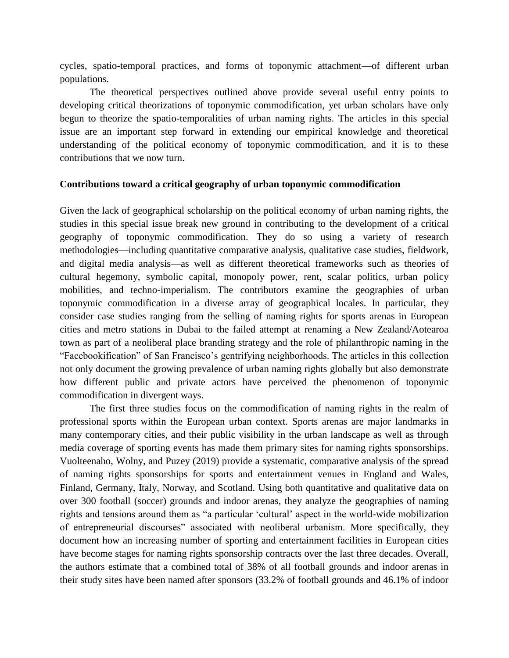cycles, spatio-temporal practices, and forms of toponymic attachment—of different urban populations.

The theoretical perspectives outlined above provide several useful entry points to developing critical theorizations of toponymic commodification, yet urban scholars have only begun to theorize the spatio-temporalities of urban naming rights. The articles in this special issue are an important step forward in extending our empirical knowledge and theoretical understanding of the political economy of toponymic commodification, and it is to these contributions that we now turn.

#### **Contributions toward a critical geography of urban toponymic commodification**

Given the lack of geographical scholarship on the political economy of urban naming rights, the studies in this special issue break new ground in contributing to the development of a critical geography of toponymic commodification. They do so using a variety of research methodologies—including quantitative comparative analysis, qualitative case studies, fieldwork, and digital media analysis—as well as different theoretical frameworks such as theories of cultural hegemony, symbolic capital, monopoly power, rent, scalar politics, urban policy mobilities, and techno-imperialism. The contributors examine the geographies of urban toponymic commodification in a diverse array of geographical locales. In particular, they consider case studies ranging from the selling of naming rights for sports arenas in European cities and metro stations in Dubai to the failed attempt at renaming a New Zealand/Aotearoa town as part of a neoliberal place branding strategy and the role of philanthropic naming in the "Facebookification" of San Francisco's gentrifying neighborhoods. The articles in this collection not only document the growing prevalence of urban naming rights globally but also demonstrate how different public and private actors have perceived the phenomenon of toponymic commodification in divergent ways.

The first three studies focus on the commodification of naming rights in the realm of professional sports within the European urban context. Sports arenas are major landmarks in many contemporary cities, and their public visibility in the urban landscape as well as through media coverage of sporting events has made them primary sites for naming rights sponsorships. Vuolteenaho, Wolny, and Puzey (2019) provide a systematic, comparative analysis of the spread of naming rights sponsorships for sports and entertainment venues in England and Wales, Finland, Germany, Italy, Norway, and Scotland. Using both quantitative and qualitative data on over 300 football (soccer) grounds and indoor arenas, they analyze the geographies of naming rights and tensions around them as "a particular 'cultural' aspect in the world-wide mobilization of entrepreneurial discourses" associated with neoliberal urbanism. More specifically, they document how an increasing number of sporting and entertainment facilities in European cities have become stages for naming rights sponsorship contracts over the last three decades. Overall, the authors estimate that a combined total of 38% of all football grounds and indoor arenas in their study sites have been named after sponsors (33.2% of football grounds and 46.1% of indoor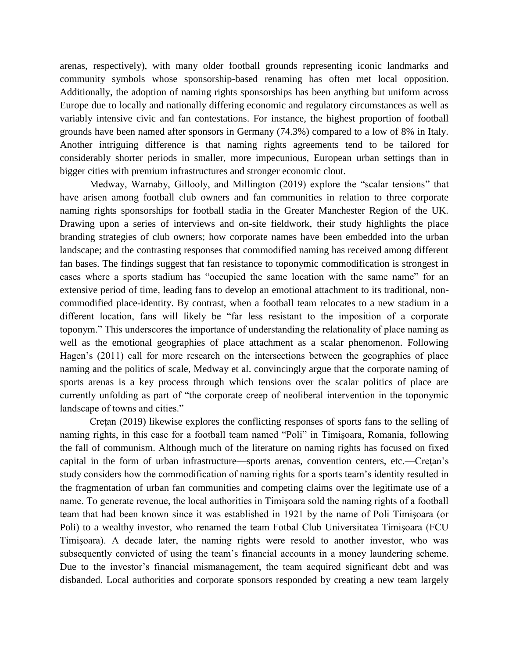arenas, respectively), with many older football grounds representing iconic landmarks and community symbols whose sponsorship-based renaming has often met local opposition. Additionally, the adoption of naming rights sponsorships has been anything but uniform across Europe due to locally and nationally differing economic and regulatory circumstances as well as variably intensive civic and fan contestations. For instance, the highest proportion of football grounds have been named after sponsors in Germany (74.3%) compared to a low of 8% in Italy. Another intriguing difference is that naming rights agreements tend to be tailored for considerably shorter periods in smaller, more impecunious, European urban settings than in bigger cities with premium infrastructures and stronger economic clout.

Medway, Warnaby, Gillooly, and Millington (2019) explore the "scalar tensions" that have arisen among football club owners and fan communities in relation to three corporate naming rights sponsorships for football stadia in the Greater Manchester Region of the UK. Drawing upon a series of interviews and on-site fieldwork, their study highlights the place branding strategies of club owners; how corporate names have been embedded into the urban landscape; and the contrasting responses that commodified naming has received among different fan bases. The findings suggest that fan resistance to toponymic commodification is strongest in cases where a sports stadium has "occupied the same location with the same name" for an extensive period of time, leading fans to develop an emotional attachment to its traditional, noncommodified place-identity. By contrast, when a football team relocates to a new stadium in a different location, fans will likely be "far less resistant to the imposition of a corporate toponym." This underscores the importance of understanding the relationality of place naming as well as the emotional geographies of place attachment as a scalar phenomenon. Following Hagen's (2011) call for more research on the intersections between the geographies of place naming and the politics of scale, Medway et al. convincingly argue that the corporate naming of sports arenas is a key process through which tensions over the scalar politics of place are currently unfolding as part of "the corporate creep of neoliberal intervention in the toponymic landscape of towns and cities."

Cretan (2019) likewise explores the conflicting responses of sports fans to the selling of naming rights, in this case for a football team named "Poli" in Timişoara, Romania, following the fall of communism. Although much of the literature on naming rights has focused on fixed capital in the form of urban infrastructure—sports arenas, convention centers, etc.—Creţan's study considers how the commodification of naming rights for a sports team's identity resulted in the fragmentation of urban fan communities and competing claims over the legitimate use of a name. To generate revenue, the local authorities in Timişoara sold the naming rights of a football team that had been known since it was established in 1921 by the name of Poli Timişoara (or Poli) to a wealthy investor, who renamed the team Fotbal Club Universitatea Timişoara (FCU Timişoara). A decade later, the naming rights were resold to another investor, who was subsequently convicted of using the team's financial accounts in a money laundering scheme. Due to the investor's financial mismanagement, the team acquired significant debt and was disbanded. Local authorities and corporate sponsors responded by creating a new team largely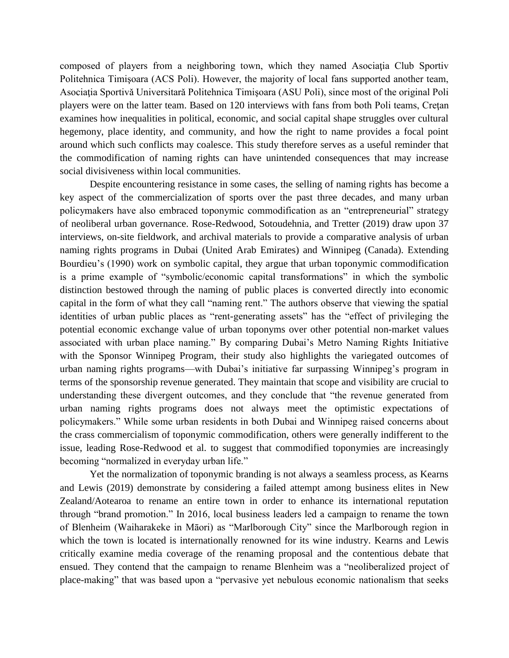composed of players from a neighboring town, which they named Asociaţia Club Sportiv Politehnica Timişoara (ACS Poli). However, the majority of local fans supported another team, Asociaţia Sportivǎ Universitarǎ Politehnica Timişoara (ASU Poli), since most of the original Poli players were on the latter team. Based on 120 interviews with fans from both Poli teams, Creţan examines how inequalities in political, economic, and social capital shape struggles over cultural hegemony, place identity, and community, and how the right to name provides a focal point around which such conflicts may coalesce. This study therefore serves as a useful reminder that the commodification of naming rights can have unintended consequences that may increase social divisiveness within local communities.

Despite encountering resistance in some cases, the selling of naming rights has become a key aspect of the commercialization of sports over the past three decades, and many urban policymakers have also embraced toponymic commodification as an "entrepreneurial" strategy of neoliberal urban governance. Rose-Redwood, Sotoudehnia, and Tretter (2019) draw upon 37 interviews, on-site fieldwork, and archival materials to provide a comparative analysis of urban naming rights programs in Dubai (United Arab Emirates) and Winnipeg (Canada). Extending Bourdieu's (1990) work on symbolic capital, they argue that urban toponymic commodification is a prime example of "symbolic/economic capital transformations" in which the symbolic distinction bestowed through the naming of public places is converted directly into economic capital in the form of what they call "naming rent." The authors observe that viewing the spatial identities of urban public places as "rent-generating assets" has the "effect of privileging the potential economic exchange value of urban toponyms over other potential non-market values associated with urban place naming." By comparing Dubai's Metro Naming Rights Initiative with the Sponsor Winnipeg Program, their study also highlights the variegated outcomes of urban naming rights programs—with Dubai's initiative far surpassing Winnipeg's program in terms of the sponsorship revenue generated. They maintain that scope and visibility are crucial to understanding these divergent outcomes, and they conclude that "the revenue generated from urban naming rights programs does not always meet the optimistic expectations of policymakers." While some urban residents in both Dubai and Winnipeg raised concerns about the crass commercialism of toponymic commodification, others were generally indifferent to the issue, leading Rose-Redwood et al. to suggest that commodified toponymies are increasingly becoming "normalized in everyday urban life."

Yet the normalization of toponymic branding is not always a seamless process, as Kearns and Lewis (2019) demonstrate by considering a failed attempt among business elites in New Zealand/Aotearoa to rename an entire town in order to enhance its international reputation through "brand promotion." In 2016, local business leaders led a campaign to rename the town of Blenheim (Waiharakeke in Māori) as "Marlborough City" since the Marlborough region in which the town is located is internationally renowned for its wine industry. Kearns and Lewis critically examine media coverage of the renaming proposal and the contentious debate that ensued. They contend that the campaign to rename Blenheim was a "neoliberalized project of place-making" that was based upon a "pervasive yet nebulous economic nationalism that seeks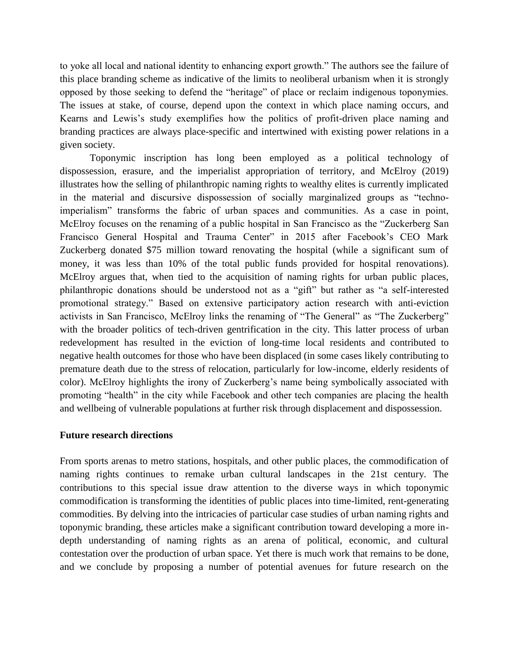to yoke all local and national identity to enhancing export growth." The authors see the failure of this place branding scheme as indicative of the limits to neoliberal urbanism when it is strongly opposed by those seeking to defend the "heritage" of place or reclaim indigenous toponymies. The issues at stake, of course, depend upon the context in which place naming occurs, and Kearns and Lewis's study exemplifies how the politics of profit-driven place naming and branding practices are always place-specific and intertwined with existing power relations in a given society.

Toponymic inscription has long been employed as a political technology of dispossession, erasure, and the imperialist appropriation of territory, and McElroy (2019) illustrates how the selling of philanthropic naming rights to wealthy elites is currently implicated in the material and discursive dispossession of socially marginalized groups as "technoimperialism" transforms the fabric of urban spaces and communities. As a case in point, McElroy focuses on the renaming of a public hospital in San Francisco as the "Zuckerberg San Francisco General Hospital and Trauma Center" in 2015 after Facebook's CEO Mark Zuckerberg donated \$75 million toward renovating the hospital (while a significant sum of money, it was less than 10% of the total public funds provided for hospital renovations). McElroy argues that, when tied to the acquisition of naming rights for urban public places, philanthropic donations should be understood not as a "gift" but rather as "a self-interested promotional strategy." Based on extensive participatory action research with anti-eviction activists in San Francisco, McElroy links the renaming of "The General" as "The Zuckerberg" with the broader politics of tech-driven gentrification in the city. This latter process of urban redevelopment has resulted in the eviction of long-time local residents and contributed to negative health outcomes for those who have been displaced (in some cases likely contributing to premature death due to the stress of relocation, particularly for low-income, elderly residents of color). McElroy highlights the irony of Zuckerberg's name being symbolically associated with promoting "health" in the city while Facebook and other tech companies are placing the health and wellbeing of vulnerable populations at further risk through displacement and dispossession.

# **Future research directions**

From sports arenas to metro stations, hospitals, and other public places, the commodification of naming rights continues to remake urban cultural landscapes in the 21st century. The contributions to this special issue draw attention to the diverse ways in which toponymic commodification is transforming the identities of public places into time-limited, rent-generating commodities. By delving into the intricacies of particular case studies of urban naming rights and toponymic branding, these articles make a significant contribution toward developing a more indepth understanding of naming rights as an arena of political, economic, and cultural contestation over the production of urban space. Yet there is much work that remains to be done, and we conclude by proposing a number of potential avenues for future research on the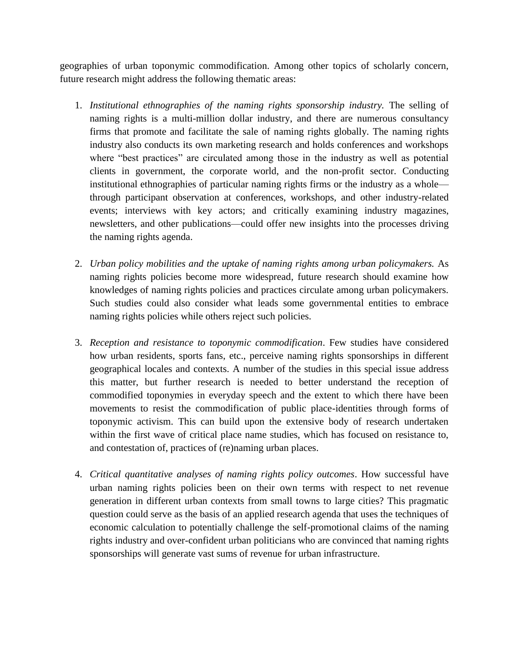geographies of urban toponymic commodification. Among other topics of scholarly concern, future research might address the following thematic areas:

- 1. *Institutional ethnographies of the naming rights sponsorship industry.* The selling of naming rights is a multi-million dollar industry, and there are numerous consultancy firms that promote and facilitate the sale of naming rights globally. The naming rights industry also conducts its own marketing research and holds conferences and workshops where "best practices" are circulated among those in the industry as well as potential clients in government, the corporate world, and the non-profit sector. Conducting institutional ethnographies of particular naming rights firms or the industry as a whole through participant observation at conferences, workshops, and other industry-related events; interviews with key actors; and critically examining industry magazines, newsletters, and other publications—could offer new insights into the processes driving the naming rights agenda.
- 2. *Urban policy mobilities and the uptake of naming rights among urban policymakers.* As naming rights policies become more widespread, future research should examine how knowledges of naming rights policies and practices circulate among urban policymakers. Such studies could also consider what leads some governmental entities to embrace naming rights policies while others reject such policies.
- 3. *Reception and resistance to toponymic commodification*. Few studies have considered how urban residents, sports fans, etc., perceive naming rights sponsorships in different geographical locales and contexts. A number of the studies in this special issue address this matter, but further research is needed to better understand the reception of commodified toponymies in everyday speech and the extent to which there have been movements to resist the commodification of public place-identities through forms of toponymic activism. This can build upon the extensive body of research undertaken within the first wave of critical place name studies, which has focused on resistance to, and contestation of, practices of (re)naming urban places.
- 4. *Critical quantitative analyses of naming rights policy outcomes*. How successful have urban naming rights policies been on their own terms with respect to net revenue generation in different urban contexts from small towns to large cities? This pragmatic question could serve as the basis of an applied research agenda that uses the techniques of economic calculation to potentially challenge the self-promotional claims of the naming rights industry and over-confident urban politicians who are convinced that naming rights sponsorships will generate vast sums of revenue for urban infrastructure.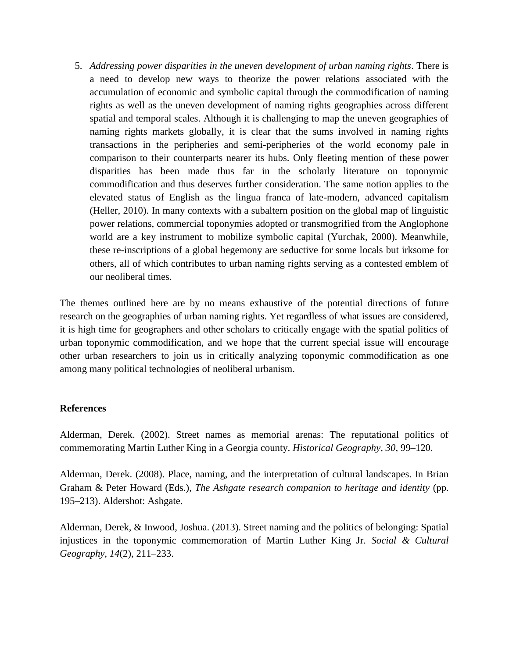5. *Addressing power disparities in the uneven development of urban naming rights*. There is a need to develop new ways to theorize the power relations associated with the accumulation of economic and symbolic capital through the commodification of naming rights as well as the uneven development of naming rights geographies across different spatial and temporal scales. Although it is challenging to map the uneven geographies of naming rights markets globally, it is clear that the sums involved in naming rights transactions in the peripheries and semi-peripheries of the world economy pale in comparison to their counterparts nearer its hubs. Only fleeting mention of these power disparities has been made thus far in the scholarly literature on toponymic commodification and thus deserves further consideration. The same notion applies to the elevated status of English as the lingua franca of late-modern, advanced capitalism (Heller, 2010). In many contexts with a subaltern position on the global map of linguistic power relations, commercial toponymies adopted or transmogrified from the Anglophone world are a key instrument to mobilize symbolic capital (Yurchak, 2000). Meanwhile, these re-inscriptions of a global hegemony are seductive for some locals but irksome for others, all of which contributes to urban naming rights serving as a contested emblem of our neoliberal times.

The themes outlined here are by no means exhaustive of the potential directions of future research on the geographies of urban naming rights. Yet regardless of what issues are considered, it is high time for geographers and other scholars to critically engage with the spatial politics of urban toponymic commodification, and we hope that the current special issue will encourage other urban researchers to join us in critically analyzing toponymic commodification as one among many political technologies of neoliberal urbanism.

# **References**

Alderman, Derek. (2002). Street names as memorial arenas: The reputational politics of commemorating Martin Luther King in a Georgia county. *Historical Geography, 30*, 99–120.

Alderman, Derek. (2008). Place, naming, and the interpretation of cultural landscapes. In Brian Graham & Peter Howard (Eds.), *The Ashgate research companion to heritage and identity* (pp. 195–213). Aldershot: Ashgate.

Alderman, Derek, & Inwood, Joshua. (2013). Street naming and the politics of belonging: Spatial injustices in the toponymic commemoration of Martin Luther King Jr. *Social & Cultural Geography, 14*(2), 211–233.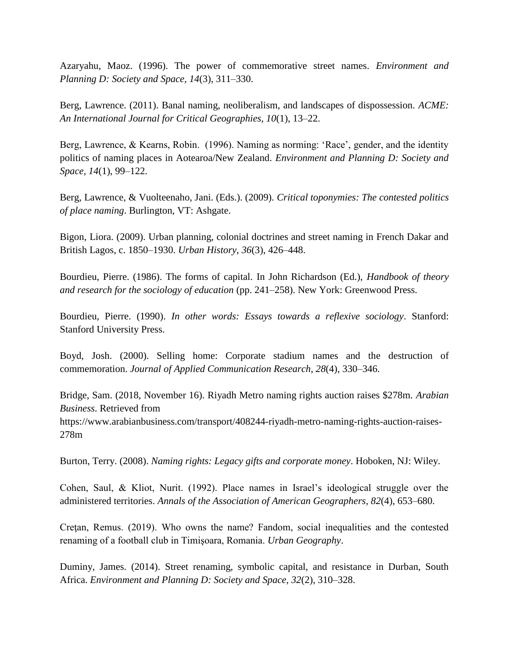Azaryahu, Maoz. (1996). The power of commemorative street names. *Environment and Planning D: Society and Space, 14*(3), 311–330.

Berg, Lawrence. (2011). Banal naming, neoliberalism, and landscapes of dispossession. *ACME: An International Journal for Critical Geographies, 10*(1), 13–22.

Berg, Lawrence, & Kearns, Robin. (1996). Naming as norming: 'Race', gender, and the identity politics of naming places in Aotearoa/New Zealand. *Environment and Planning D: Society and Space, 14*(1), 99–122.

Berg, Lawrence, & Vuolteenaho, Jani. (Eds.). (2009). *Critical toponymies: The contested politics of place naming*. Burlington, VT: Ashgate.

Bigon, Liora. (2009). Urban planning, colonial doctrines and street naming in French Dakar and British Lagos, c. 1850–1930. *Urban History, 36*(3), 426–448.

Bourdieu, Pierre. (1986). The forms of capital. In John Richardson (Ed.), *Handbook of theory and research for the sociology of education* (pp. 241–258). New York: Greenwood Press.

Bourdieu, Pierre. (1990). *In other words: Essays towards a reflexive sociology*. Stanford: Stanford University Press.

Boyd, Josh. (2000). Selling home: Corporate stadium names and the destruction of commemoration. *Journal of Applied Communication Research*, *28*(4), 330–346.

Bridge, Sam. (2018, November 16). Riyadh Metro naming rights auction raises \$278m. *Arabian Business*. Retrieved from

https://www.arabianbusiness.com/transport/408244-riyadh-metro-naming-rights-auction-raises-278m

Burton, Terry. (2008). *Naming rights: Legacy gifts and corporate money*. Hoboken, NJ: Wiley.

Cohen, Saul, & Kliot, Nurit. (1992). Place names in Israel's ideological struggle over the administered territories. *Annals of the Association of American Geographers, 82*(4), 653–680.

Cretan, Remus. (2019). Who owns the name? Fandom, social inequalities and the contested renaming of a football club in Timişoara, Romania. *Urban Geography*.

Duminy, James. (2014). Street renaming, symbolic capital, and resistance in Durban, South Africa. *Environment and Planning D: Society and Space, 32*(2), 310–328.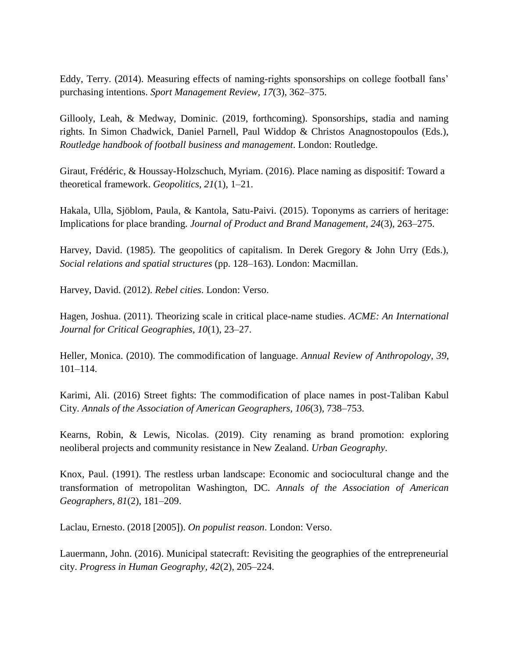Eddy, Terry. (2014). Measuring effects of naming-rights sponsorships on college football fans' purchasing intentions. *Sport Management Review, 17*(3), 362–375.

Gillooly, Leah, & Medway, Dominic. (2019, forthcoming). Sponsorships, stadia and naming rights. In Simon Chadwick, Daniel Parnell, Paul Widdop & Christos Anagnostopoulos (Eds.), *Routledge handbook of football business and management*. London: Routledge.

Giraut, Frédéric, & Houssay-Holzschuch, Myriam. (2016). Place naming as dispositif: Toward a theoretical framework. *Geopolitics, 21*(1), 1–21.

Hakala, Ulla, Sjöblom, Paula, & Kantola, Satu-Paivi. (2015). Toponyms as carriers of heritage: Implications for place branding. *Journal of Product and Brand Management, 24*(3), 263–275.

Harvey, David. (1985). The geopolitics of capitalism. In Derek Gregory & John Urry (Eds.), *Social relations and spatial structures* (pp. 128–163). London: Macmillan.

Harvey, David. (2012). *Rebel cities*. London: Verso.

Hagen, Joshua. (2011). Theorizing scale in critical place-name studies. *ACME: An International Journal for Critical Geographies, 10*(1), 23–27.

Heller, Monica. (2010). The commodification of language. *Annual Review of Anthropology, 39*, 101–114.

Karimi, Ali. (2016) Street fights: The commodification of place names in post-Taliban Kabul City. *Annals of the Association of American Geographers, 106*(3), 738–753.

Kearns, Robin, & Lewis, Nicolas. (2019). City renaming as brand promotion: exploring neoliberal projects and community resistance in New Zealand. *Urban Geography*.

Knox, Paul. (1991). The restless urban landscape: Economic and sociocultural change and the transformation of metropolitan Washington, DC. *Annals of the Association of American Geographers, 81*(2), 181–209.

Laclau, Ernesto. (2018 [2005]). *On populist reason*. London: Verso.

Lauermann, John. (2016). Municipal statecraft: Revisiting the geographies of the entrepreneurial city. *Progress in Human Geography, 42*(2), 205–224.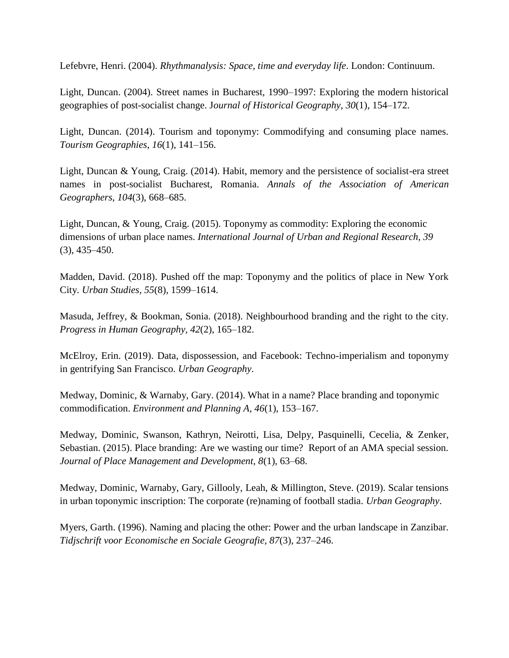Lefebvre, Henri. (2004). *Rhythmanalysis: Space, time and everyday life*. London: Continuum.

Light, Duncan. (2004). Street names in Bucharest, 1990–1997: Exploring the modern historical geographies of post-socialist change. J*ournal of Historical Geography, 30*(1), 154–172.

Light, Duncan. (2014). Tourism and toponymy: Commodifying and consuming place names. *Tourism Geographies*, *16*(1), 141–156.

Light, Duncan & Young, Craig. (2014). Habit, memory and the persistence of socialist-era street names in post-socialist Bucharest, Romania. *Annals of the Association of American Geographers*, *104*(3), 668–685.

Light, Duncan, & Young, Craig. (2015). Toponymy as commodity: Exploring the economic dimensions of urban place names. *International Journal of Urban and Regional Research, 39* (3), 435–450.

Madden, David. (2018). Pushed off the map: Toponymy and the politics of place in New York City. *Urban Studies, 55*(8), 1599–1614.

Masuda, Jeffrey, & Bookman, Sonia. (2018). Neighbourhood branding and the right to the city. *Progress in Human Geography, 42*(2), 165–182.

McElroy, Erin. (2019). Data, dispossession, and Facebook: Techno-imperialism and toponymy in gentrifying San Francisco. *Urban Geography*.

Medway, Dominic, & Warnaby, Gary. (2014). What in a name? Place branding and toponymic commodification. *Environment and Planning A, 46*(1), 153–167.

Medway, Dominic, Swanson, Kathryn, Neirotti, Lisa, Delpy, Pasquinelli, Cecelia, & Zenker, Sebastian. (2015). Place branding: Are we wasting our time? Report of an AMA special session. *Journal of Place Management and Development, 8*(1), 63–68.

Medway, Dominic, Warnaby, Gary, Gillooly, Leah, & Millington, Steve. (2019). Scalar tensions in urban toponymic inscription: The corporate (re)naming of football stadia. *Urban Geography*.

Myers, Garth. (1996). Naming and placing the other: Power and the urban landscape in Zanzibar. *Tidjschrift voor Economische en Sociale Geografie, 87*(3), 237–246.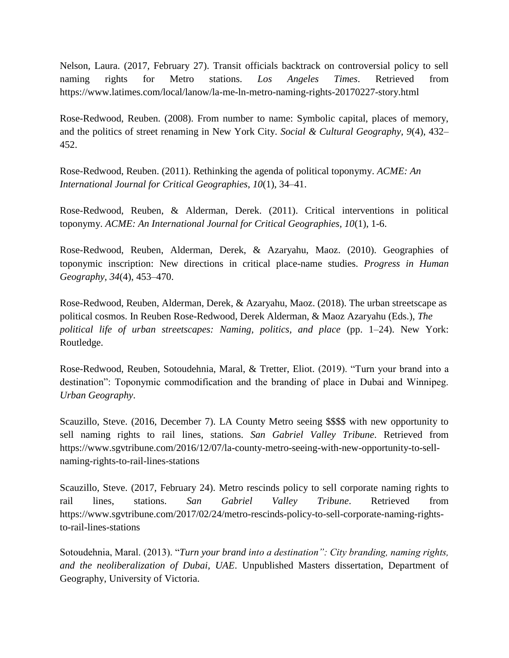Nelson, Laura. (2017, February 27). Transit officials backtrack on controversial policy to sell naming rights for Metro stations. *Los Angeles Times*. Retrieved from https://www.latimes.com/local/lanow/la-me-ln-metro-naming-rights-20170227-story.html

Rose-Redwood, Reuben. (2008). From number to name: Symbolic capital, places of memory, and the politics of street renaming in New York City. *Social & Cultural Geography, 9*(4), 432– 452.

Rose-Redwood, Reuben. (2011). Rethinking the agenda of political toponymy. *ACME: An International Journal for Critical Geographies*, *10*(1), 34–41.

Rose-Redwood, Reuben, & Alderman, Derek. (2011). Critical interventions in political toponymy. *ACME: An International Journal for Critical Geographies, 10*(1), 1-6.

Rose-Redwood, Reuben, Alderman, Derek, & Azaryahu, Maoz. (2010). Geographies of toponymic inscription: New directions in critical place-name studies. *Progress in Human Geography*, *34*(4), 453–470.

Rose-Redwood, Reuben, Alderman, Derek, & Azaryahu, Maoz. (2018). The urban streetscape as political cosmos. In Reuben Rose-Redwood, Derek Alderman, & Maoz Azaryahu (Eds.), *The political life of urban streetscapes: Naming, politics, and place* (pp. 1–24). New York: Routledge.

Rose-Redwood, Reuben, Sotoudehnia, Maral, & Tretter, Eliot. (2019). "Turn your brand into a destination": Toponymic commodification and the branding of place in Dubai and Winnipeg. *Urban Geography*.

Scauzillo, Steve. (2016, December 7). LA County Metro seeing \$\$\$\$ with new opportunity to sell naming rights to rail lines, stations. *San Gabriel Valley Tribune*. Retrieved from https://www.sgvtribune.com/2016/12/07/la-county-metro-seeing-with-new-opportunity-to-sellnaming-rights-to-rail-lines-stations

Scauzillo, Steve. (2017, February 24). Metro rescinds policy to sell corporate naming rights to rail lines, stations. *San Gabriel Valley Tribune*. Retrieved from https://www.sgvtribune.com/2017/02/24/metro-rescinds-policy-to-sell-corporate-naming-rightsto-rail-lines-stations

Sotoudehnia, Maral. (2013). "*Turn your brand into a destination": City branding, naming rights, and the neoliberalization of Dubai, UAE*. Unpublished Masters dissertation, Department of Geography, University of Victoria.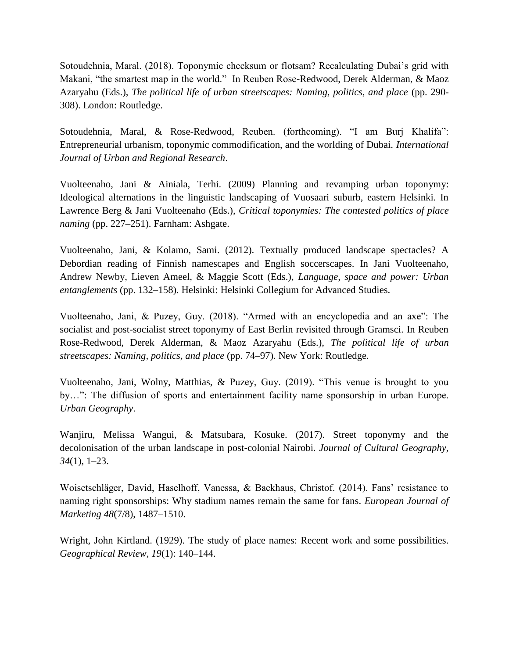Sotoudehnia, Maral. (2018). Toponymic checksum or flotsam? Recalculating Dubai's grid with Makani, "the smartest map in the world." In Reuben Rose-Redwood, Derek Alderman, & Maoz Azaryahu (Eds.), *The political life of urban streetscapes: Naming, politics, and place* (pp. 290- 308). London: Routledge.

Sotoudehnia, Maral, & Rose-Redwood, Reuben. (forthcoming). "I am Burj Khalifa": Entrepreneurial urbanism, toponymic commodification, and the worlding of Dubai. *International Journal of Urban and Regional Research*.

Vuolteenaho, Jani & Ainiala, Terhi. (2009) Planning and revamping urban toponymy: Ideological alternations in the linguistic landscaping of Vuosaari suburb, eastern Helsinki. In Lawrence Berg & Jani Vuolteenaho (Eds.), *Critical toponymies: The contested politics of place naming* (pp. 227–251). Farnham: Ashgate.

Vuolteenaho, Jani, & Kolamo, Sami. (2012). Textually produced landscape spectacles? A Debordian reading of Finnish namescapes and English soccerscapes. In Jani Vuolteenaho, Andrew Newby, Lieven Ameel, & Maggie Scott (Eds.), *Language, space and power: Urban entanglements* (pp. 132–158). Helsinki: Helsinki Collegium for Advanced Studies.

Vuolteenaho, Jani, & Puzey, Guy. (2018). "Armed with an encyclopedia and an axe": The socialist and post-socialist street toponymy of East Berlin revisited through Gramsci. In Reuben Rose-Redwood, Derek Alderman, & Maoz Azaryahu (Eds.), *The political life of urban streetscapes: Naming, politics, and place* (pp. 74–97). New York: Routledge.

Vuolteenaho, Jani, Wolny, Matthias, & Puzey, Guy. (2019). "This venue is brought to you by…": The diffusion of sports and entertainment facility name sponsorship in urban Europe. *Urban Geography*.

Wanjiru, Melissa Wangui, & Matsubara, Kosuke. (2017). Street toponymy and the decolonisation of the urban landscape in post-colonial Nairobi. *Journal of Cultural Geography, 34*(1), 1–23.

Woisetschläger, David, Haselhoff, Vanessa, & Backhaus, Christof. (2014). Fans' resistance to naming right sponsorships: Why stadium names remain the same for fans. *European Journal of Marketing 48*(7/8), 1487–1510.

Wright, John Kirtland. (1929). The study of place names: Recent work and some possibilities. *Geographical Review, 19*(1): 140–144.